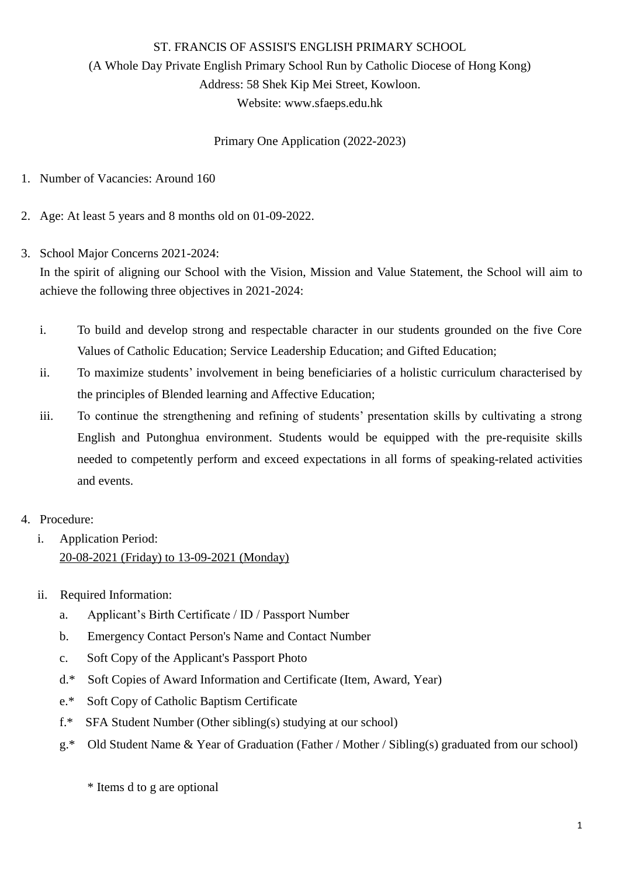## ST. FRANCIS OF ASSISI'S ENGLISH PRIMARY SCHOOL (A Whole Day Private English Primary School Run by Catholic Diocese of Hong Kong) Address: 58 Shek Kip Mei Street, Kowloon. Website: [www.sfaeps.edu.hk](http://www.sfaeps.edu.hk/)

Primary One Application (2022-2023)

- 1. Number of Vacancies: Around 160
- 2. Age: At least 5 years and 8 months old on 01-09-2022.
- 3. School Major Concerns 2021-2024:

In the spirit of aligning our School with the Vision, Mission and Value Statement, the School will aim to achieve the following three objectives in 2021-2024:

- i. To build and develop strong and respectable character in our students grounded on the five Core Values of Catholic Education; Service Leadership Education; and Gifted Education;
- ii. To maximize students' involvement in being beneficiaries of a holistic curriculum characterised by the principles of Blended learning and Affective Education;
- iii. To continue the strengthening and refining of students' presentation skills by cultivating a strong English and Putonghua environment. Students would be equipped with the pre-requisite skills needed to competently perform and exceed expectations in all forms of speaking-related activities and events.
- 4. Procedure:
	- i. Application Period: 20-08-2021 (Friday) to 13-09-2021 (Monday)
	- ii. Required Information:
		- a. Applicant's Birth Certificate / ID / Passport Number
		- b. Emergency Contact Person's Name and Contact Number
		- c. Soft Copy of the Applicant's Passport Photo
		- d.\* Soft Copies of Award Information and Certificate (Item, Award, Year)
		- e.\* Soft Copy of Catholic Baptism Certificate
		- f.\* SFA Student Number (Other sibling(s) studying at our school)
		- g.\* Old Student Name & Year of Graduation (Father / Mother / Sibling(s) graduated from our school)

\* Items d to g are optional